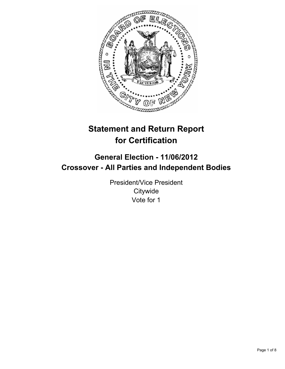

# **Statement and Return Report for Certification**

## **General Election - 11/06/2012 Crossover - All Parties and Independent Bodies**

President/Vice President **Citywide** Vote for 1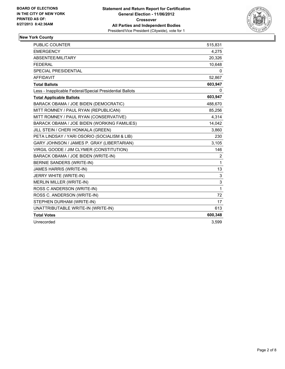

## **New York County**

| <b>PUBLIC COUNTER</b>                                    | 515,831      |
|----------------------------------------------------------|--------------|
| <b>EMERGENCY</b>                                         | 4,275        |
| ABSENTEE/MILITARY                                        | 20,326       |
| <b>FEDERAL</b>                                           | 10,648       |
| <b>SPECIAL PRESIDENTIAL</b>                              | 0            |
| <b>AFFIDAVIT</b>                                         | 52,867       |
| <b>Total Ballots</b>                                     | 603,947      |
| Less - Inapplicable Federal/Special Presidential Ballots | $\mathbf{0}$ |
| <b>Total Applicable Ballots</b>                          | 603,947      |
| BARACK OBAMA / JOE BIDEN (DEMOCRATIC)                    | 488,670      |
| MITT ROMNEY / PAUL RYAN (REPUBLICAN)                     | 85,256       |
| MITT ROMNEY / PAUL RYAN (CONSERVATIVE)                   | 4,314        |
| BARACK OBAMA / JOE BIDEN (WORKING FAMILIES)              | 14,042       |
| JILL STEIN / CHERI HONKALA (GREEN)                       | 3,860        |
| PETA LINDSAY / YARI OSORIO (SOCIALISM & LIB)             | 230          |
| GARY JOHNSON / JAMES P. GRAY (LIBERTARIAN)               | 3,105        |
| VIRGIL GOODE / JIM CLYMER (CONSTITUTION)                 | 146          |
| BARACK OBAMA / JOE BIDEN (WRITE-IN)                      | 2            |
| BERNIE SANDERS (WRITE-IN)                                | 1            |
| JAMES HARRIS (WRITE-IN)                                  | 13           |
| JERRY WHITE (WRITE-IN)                                   | 3            |
| <b>MERLIN MILLER (WRITE-IN)</b>                          | 3            |
| ROSS C ANDERSON (WRITE-IN)                               | 1            |
| ROSS C. ANDERSON (WRITE-IN)                              | 72           |
| STEPHEN DURHAM (WRITE-IN)                                | 17           |
| UNATTRIBUTABLE WRITE-IN (WRITE-IN)                       | 613          |
| <b>Total Votes</b>                                       | 600,348      |
| Unrecorded                                               | 3,599        |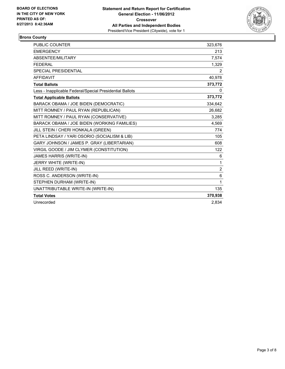

## **Bronx County**

| <b>PUBLIC COUNTER</b>                                    | 323,676        |
|----------------------------------------------------------|----------------|
| <b>EMERGENCY</b>                                         | 213            |
| ABSENTEE/MILITARY                                        | 7,574          |
| <b>FEDERAL</b>                                           | 1,329          |
| <b>SPECIAL PRESIDENTIAL</b>                              | 2              |
| <b>AFFIDAVIT</b>                                         | 40,978         |
| <b>Total Ballots</b>                                     | 373,772        |
| Less - Inapplicable Federal/Special Presidential Ballots | 0              |
| <b>Total Applicable Ballots</b>                          | 373,772        |
| BARACK OBAMA / JOE BIDEN (DEMOCRATIC)                    | 334,642        |
| MITT ROMNEY / PAUL RYAN (REPUBLICAN)                     | 26,682         |
| MITT ROMNEY / PAUL RYAN (CONSERVATIVE)                   | 3,285          |
| BARACK OBAMA / JOE BIDEN (WORKING FAMILIES)              | 4,569          |
| JILL STEIN / CHERI HONKALA (GREEN)                       | 774            |
| PETA LINDSAY / YARI OSORIO (SOCIALISM & LIB)             | 105            |
| GARY JOHNSON / JAMES P. GRAY (LIBERTARIAN)               | 608            |
| VIRGIL GOODE / JIM CLYMER (CONSTITUTION)                 | 122            |
| JAMES HARRIS (WRITE-IN)                                  | 6              |
| JERRY WHITE (WRITE-IN)                                   | 1              |
| JILL REED (WRITE-IN)                                     | $\overline{2}$ |
| ROSS C. ANDERSON (WRITE-IN)                              | 6              |
| STEPHEN DURHAM (WRITE-IN)                                | 1              |
| UNATTRIBUTABLE WRITE-IN (WRITE-IN)                       | 135            |
| <b>Total Votes</b>                                       | 370,938        |
| Unrecorded                                               | 2,834          |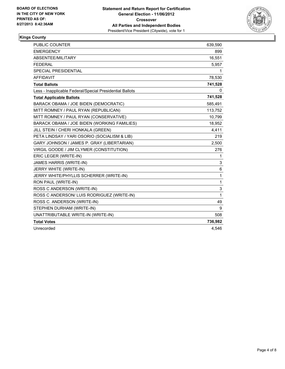

#### **Kings County**

| <b>PUBLIC COUNTER</b>                                    | 639,590 |
|----------------------------------------------------------|---------|
| <b>EMERGENCY</b>                                         | 899     |
| ABSENTEE/MILITARY                                        | 16,551  |
| <b>FEDERAL</b>                                           | 5,957   |
| <b>SPECIAL PRESIDENTIAL</b>                              | 1       |
| <b>AFFIDAVIT</b>                                         | 78,530  |
| <b>Total Ballots</b>                                     | 741,528 |
| Less - Inapplicable Federal/Special Presidential Ballots | 0       |
| <b>Total Applicable Ballots</b>                          | 741,528 |
| BARACK OBAMA / JOE BIDEN (DEMOCRATIC)                    | 585,491 |
| MITT ROMNEY / PAUL RYAN (REPUBLICAN)                     | 113,752 |
| MITT ROMNEY / PAUL RYAN (CONSERVATIVE)                   | 10,799  |
| BARACK OBAMA / JOE BIDEN (WORKING FAMILIES)              | 18,952  |
| JILL STEIN / CHERI HONKALA (GREEN)                       | 4,411   |
| PETA LINDSAY / YARI OSORIO (SOCIALISM & LIB)             | 219     |
| GARY JOHNSON / JAMES P. GRAY (LIBERTARIAN)               | 2,500   |
| VIRGIL GOODE / JIM CLYMER (CONSTITUTION)                 | 276     |
| ERIC LEGER (WRITE-IN)                                    | 1       |
| JAMES HARRIS (WRITE-IN)                                  | 3       |
| JERRY WHITE (WRITE-IN)                                   | 6       |
| JERRY WHITE/PHYLLIS SCHERRER (WRITE-IN)                  | 1       |
| RON PAUL (WRITE-IN)                                      | 1       |
| ROSS C ANDERSON (WRITE-IN)                               | 3       |
| ROSS C ANDERSON/ LUIS RODRIGUEZ (WRITE-IN)               | 1       |
| ROSS C. ANDERSON (WRITE-IN)                              | 49      |
| STEPHEN DURHAM (WRITE-IN)                                | 9       |
| UNATTRIBUTABLE WRITE-IN (WRITE-IN)                       | 508     |
| <b>Total Votes</b>                                       | 736,982 |
| Unrecorded                                               | 4.546   |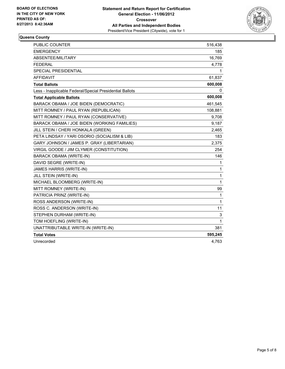

#### **Queens County**

| PUBLIC COUNTER                                           | 516,438 |
|----------------------------------------------------------|---------|
| <b>EMERGENCY</b>                                         | 185     |
| <b>ABSENTEE/MILITARY</b>                                 | 16,769  |
| <b>FEDERAL</b>                                           | 4,778   |
| <b>SPECIAL PRESIDENTIAL</b>                              | 1       |
| AFFIDAVIT                                                | 61,837  |
| <b>Total Ballots</b>                                     | 600,008 |
| Less - Inapplicable Federal/Special Presidential Ballots | 0       |
| <b>Total Applicable Ballots</b>                          | 600,008 |
| BARACK OBAMA / JOE BIDEN (DEMOCRATIC)                    | 461,545 |
| MITT ROMNEY / PAUL RYAN (REPUBLICAN)                     | 108,881 |
| MITT ROMNEY / PAUL RYAN (CONSERVATIVE)                   | 9,708   |
| BARACK OBAMA / JOE BIDEN (WORKING FAMILIES)              | 9,187   |
| JILL STEIN / CHERI HONKALA (GREEN)                       | 2,465   |
| PETA LINDSAY / YARI OSORIO (SOCIALISM & LIB)             | 183     |
| GARY JOHNSON / JAMES P. GRAY (LIBERTARIAN)               | 2,375   |
| VIRGIL GOODE / JIM CLYMER (CONSTITUTION)                 | 254     |
| BARACK OBAMA (WRITE-IN)                                  | 146     |
| DAVID SEGRE (WRITE-IN)                                   | 1       |
| JAMES HARRIS (WRITE-IN)                                  | 1       |
| JILL STEIN (WRITE-IN)                                    | 1       |
| MICHAEL BLOOMBERG (WRITE-IN)                             | 1       |
| MITT ROMNEY (WRITE-IN)                                   | 99      |
| PATRICIA PRINZ (WRITE-IN)                                | 1       |
| ROSS ANDERSON (WRITE-IN)                                 | 1       |
| ROSS C. ANDERSON (WRITE-IN)                              | 11      |
| STEPHEN DURHAM (WRITE-IN)                                | 3       |
| TOM HOEFLING (WRITE-IN)                                  | 1       |
| UNATTRIBUTABLE WRITE-IN (WRITE-IN)                       | 381     |
| <b>Total Votes</b>                                       | 595,245 |
| Unrecorded                                               | 4,763   |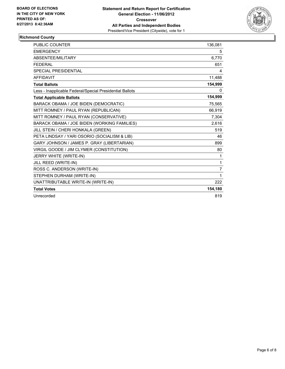

#### **Richmond County**

| PUBLIC COUNTER                                           | 136,081 |
|----------------------------------------------------------|---------|
| <b>EMERGENCY</b>                                         | 5       |
| ABSENTEE/MILITARY                                        | 6,770   |
| <b>FEDERAL</b>                                           | 651     |
| <b>SPECIAL PRESIDENTIAL</b>                              | 4       |
| <b>AFFIDAVIT</b>                                         | 11,488  |
| <b>Total Ballots</b>                                     | 154,999 |
| Less - Inapplicable Federal/Special Presidential Ballots | 0       |
| <b>Total Applicable Ballots</b>                          | 154,999 |
| BARACK OBAMA / JOE BIDEN (DEMOCRATIC)                    | 75,565  |
| MITT ROMNEY / PAUL RYAN (REPUBLICAN)                     | 66,919  |
| MITT ROMNEY / PAUL RYAN (CONSERVATIVE)                   | 7,304   |
| BARACK OBAMA / JOE BIDEN (WORKING FAMILIES)              | 2,616   |
| JILL STEIN / CHERI HONKALA (GREEN)                       | 519     |
| PETA LINDSAY / YARI OSORIO (SOCIALISM & LIB)             | 46      |
| GARY JOHNSON / JAMES P. GRAY (LIBERTARIAN)               | 899     |
| VIRGIL GOODE / JIM CLYMER (CONSTITUTION)                 | 80      |
| JERRY WHITE (WRITE-IN)                                   | 1       |
| JILL REED (WRITE-IN)                                     | 1       |
| ROSS C. ANDERSON (WRITE-IN)                              | 7       |
| STEPHEN DURHAM (WRITE-IN)                                | 1       |
| UNATTRIBUTABLE WRITE-IN (WRITE-IN)                       | 222     |
| <b>Total Votes</b>                                       | 154,180 |
| Unrecorded                                               | 819     |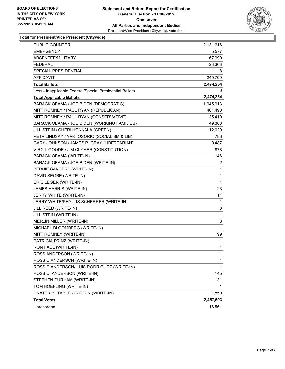

#### **Total for President/Vice President (Citywide)**

| PUBLIC COUNTER                                           | 2,131,616    |
|----------------------------------------------------------|--------------|
| <b>EMERGENCY</b>                                         | 5,577        |
| ABSENTEE/MILITARY                                        | 67,990       |
| <b>FEDERAL</b>                                           | 23,363       |
| SPECIAL PRESIDENTIAL                                     | 8            |
| AFFIDAVIT                                                | 245,700      |
| <b>Total Ballots</b>                                     | 2,474,254    |
| Less - Inapplicable Federal/Special Presidential Ballots | 0            |
| <b>Total Applicable Ballots</b>                          | 2,474,254    |
| BARACK OBAMA / JOE BIDEN (DEMOCRATIC)                    | 1,945,913    |
| MITT ROMNEY / PAUL RYAN (REPUBLICAN)                     | 401,490      |
| MITT ROMNEY / PAUL RYAN (CONSERVATIVE)                   | 35,410       |
| BARACK OBAMA / JOE BIDEN (WORKING FAMILIES)              | 49,366       |
| JILL STEIN / CHERI HONKALA (GREEN)                       | 12,029       |
| PETA LINDSAY / YARI OSORIO (SOCIALISM & LIB)             | 783          |
| GARY JOHNSON / JAMES P. GRAY (LIBERTARIAN)               | 9,487        |
| VIRGIL GOODE / JIM CLYMER (CONSTITUTION)                 | 878          |
| <b>BARACK OBAMA (WRITE-IN)</b>                           | 146          |
| BARACK OBAMA / JOE BIDEN (WRITE-IN)                      | 2            |
| BERNIE SANDERS (WRITE-IN)                                | 1            |
| DAVID SEGRE (WRITE-IN)                                   | $\mathbf{1}$ |
| ERIC LEGER (WRITE-IN)                                    | 1            |
| <b>JAMES HARRIS (WRITE-IN)</b>                           | 23           |
| JERRY WHITE (WRITE-IN)                                   | 11           |
| JERRY WHITE/PHYLLIS SCHERRER (WRITE-IN)                  | 1            |
| JILL REED (WRITE-IN)                                     | 3            |
| JILL STEIN (WRITE-IN)                                    | $\mathbf{1}$ |
| MERLIN MILLER (WRITE-IN)                                 | 3            |
| MICHAEL BLOOMBERG (WRITE-IN)                             | 1            |
| MITT ROMNEY (WRITE-IN)                                   | 99           |
| PATRICIA PRINZ (WRITE-IN)                                | 1            |
| RON PAUL (WRITE-IN)                                      | $\mathbf{1}$ |
| ROSS ANDERSON (WRITE-IN)                                 | 1            |
| ROSS C ANDERSON (WRITE-IN)                               | 4            |
| ROSS C ANDERSON/ LUIS RODRIGUEZ (WRITE-IN)               | 1            |
| ROSS C. ANDERSON (WRITE-IN)                              | 145          |
| STEPHEN DURHAM (WRITE-IN)                                | 31           |
| TOM HOEFLING (WRITE-IN)                                  | 1            |
| UNATTRIBUTABLE WRITE-IN (WRITE-IN)                       | 1,859        |
| <b>Total Votes</b>                                       | 2,457,693    |
| Unrecorded                                               | 16,561       |